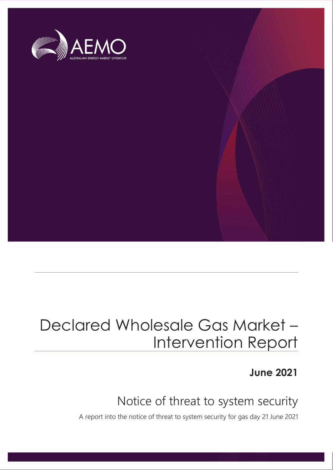

## Declared Wholesale Gas Market – Intervention Report

### **June 2021**

### Notice of threat to system security

A report into the notice of threat to system security for gas day 21 June 2021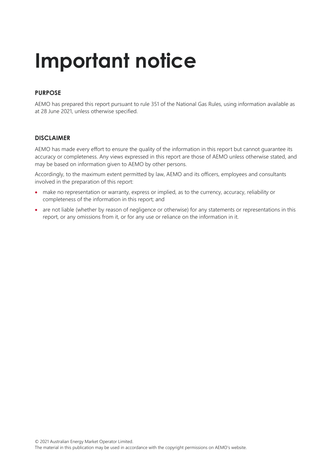# **Important notice**

### **PURPOSE**

AEMO has prepared this report pursuant to rule 351 of the National Gas Rules, using information available as at 28 June 2021, unless otherwise specified.

#### **DISCLAIMER**

AEMO has made every effort to ensure the quality of the information in this report but cannot guarantee its accuracy or completeness. Any views expressed in this report are those of AEMO unless otherwise stated, and may be based on information given to AEMO by other persons.

Accordingly, to the maximum extent permitted by law, AEMO and its officers, employees and consultants involved in the preparation of this report:

- make no representation or warranty, express or implied, as to the currency, accuracy, reliability or completeness of the information in this report; and
- are not liable (whether by reason of negligence or otherwise) for any statements or representations in this report, or any omissions from it, or for any use or reliance on the information in it.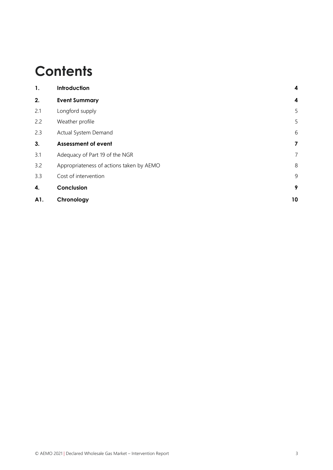## **Contents**

| 1.  | Introduction                             | 4                       |
|-----|------------------------------------------|-------------------------|
| 2.  | <b>Event Summary</b>                     | 4                       |
| 2.1 | Longford supply                          | 5                       |
| 2.2 | Weather profile                          | 5                       |
| 2.3 | Actual System Demand                     | 6                       |
| 3.  | <b>Assessment of event</b>               | $\overline{\mathbf{z}}$ |
| 3.1 | Adequacy of Part 19 of the NGR           | 7                       |
| 3.2 | Appropriateness of actions taken by AEMO | 8                       |
| 3.3 | Cost of intervention                     | 9                       |
| 4.  | Conclusion                               | 9                       |
| A1. | Chronology                               | 10                      |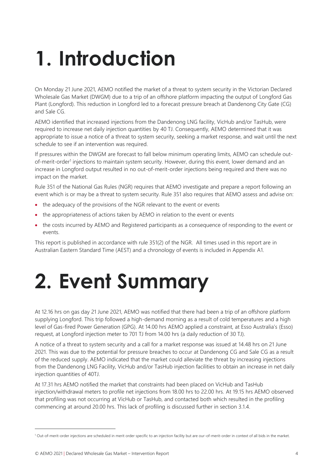# <span id="page-3-0"></span>**1. Introduction**

On Monday 21 June 2021, AEMO notified the market of a threat to system security in the Victorian Declared Wholesale Gas Market (DWGM) due to a trip of an offshore platform impacting the output of Longford Gas Plant (Longford). This reduction in Longford led to a forecast pressure breach at Dandenong City Gate (CG) and Sale CG.

AEMO identified that increased injections from the Dandenong LNG facility, VicHub and/or TasHub, were required to increase net daily injection quantities by 40 TJ. Consequently, AEMO determined that it was appropriate to issue a notice of a threat to system security, seeking a market response, and wait until the next schedule to see if an intervention was required.

If pressures within the DWGM are forecast to fall below minimum operating limits, AEMO can schedule outof-merit-order<sup>1</sup> injections to maintain system security. However, during this event, lower demand and an increase in Longford output resulted in no out-of-merit-order injections being required and there was no impact on the market.

Rule 351 of the National Gas Rules (NGR) requires that AEMO investigate and prepare a report following an event which is or may be a threat to system security. Rule 351 also requires that AEMO assess and advise on:

- the adequacy of the provisions of the NGR relevant to the event or events
- the appropriateness of actions taken by AEMO in relation to the event or events
- the costs incurred by AEMO and Registered participants as a consequence of responding to the event or events.

<span id="page-3-1"></span>This report is published in accordance with rule 351(2) of the NGR. All times used in this report are in Australian Eastern Standard Time (AEST) and a chronology of events is included in Appendix [A1.](#page-9-0)

## **2. Event Summary**

At 12.16 hrs on gas day 21 June 2021, AEMO was notified that there had been a trip of an offshore platform supplying Longford. This trip followed a high-demand morning as a result of cold temperatures and a high level of Gas-fired Power Generation (GPG). At 14.00 hrs AEMO applied a constraint, at Esso Australia's (Esso) request, at Longford injection meter to 701 TJ from 14.00 hrs (a daily reduction of 30 TJ).

A notice of a threat to system security and a call for a market response was issued at 14.48 hrs on 21 June 2021. This was due to the potential for pressure breaches to occur at Dandenong CG and Sale CG as a result of the reduced supply. AEMO indicated that the market could alleviate the threat by increasing injections from the Dandenong LNG Facility, VicHub and/or TasHub injection facilities to obtain an increase in net daily injection quantities of 40TJ.

At 17.31 hrs AEMO notified the market that constraints had been placed on VicHub and TasHub injection/withdrawal meters to profile net injections from 18.00 hrs to 22.00 hrs. At 19.15 hrs AEMO observed that profiling was not occurring at VicHub or TasHub, and contacted both which resulted in the profiling commencing at around 20.00 hrs. This lack of profiling is discussed further in section [3.1.4.](#page-7-1)

<sup>1</sup> Out-of-merit-order injections are scheduled in merit order specific to an injection facility but are our-of-merit-order in context of all bids in the market.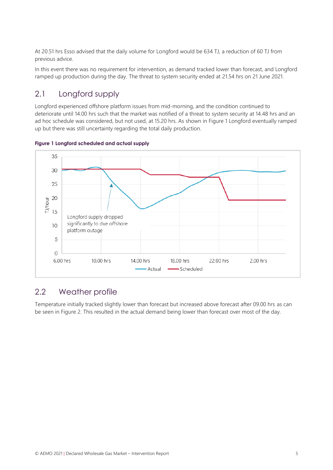At 20.51 hrs Esso advised that the daily volume for Longford would be 634 TJ, a reduction of 60 TJ from previous advice.

In this event there was no requirement for intervention, as demand tracked lower than forecast, and Longford ramped up production during the day. The threat to system security ended at 21.54 hrs on 21 June 2021.

### <span id="page-4-0"></span>2.1 Longford supply

Longford experienced offshore platform issues from mid-morning, and the condition continued to deteriorate until 14.00 hrs such that the market was notified of a threat to system security at 14.48 hrs and an ad hoc schedule was considered, but not used, at 15.20 hrs. As shown in [Figure 1](#page-4-2) Longford eventually ramped up but there was still uncertainty regarding the total daily production.



<span id="page-4-2"></span>**Figure 1 Longford scheduled and actual supply**

### <span id="page-4-1"></span>2.2 Weather profile

Temperature initially tracked slightly lower than forecast but increased above forecast after 09.00 hrs as can be seen in [Figure 2.](#page-5-1) This resulted in the actual demand being lower than forecast over most of the day.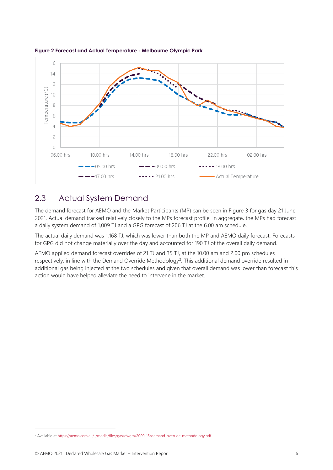

<span id="page-5-1"></span>

### <span id="page-5-0"></span>2.3 Actual System Demand

The demand forecast for AEMO and the Market Participants (MP) can be seen in [Figure 3](#page-6-2) for gas day 21 June 2021. Actual demand tracked relatively closely to the MPs forecast profile. In aggregate, the MPs had forecast a daily system demand of 1,009 TJ and a GPG forecast of 206 TJ at the 6.00 am schedule.

The actual daily demand was 1,168 TJ, which was lower than both the MP and AEMO daily forecast. Forecasts for GPG did not change materially over the day and accounted for 190 TJ of the overall daily demand.

AEMO applied demand forecast overrides of 21 TJ and 35 TJ, at the 10.00 am and 2.00 pm schedules respectively, in line with the Demand Override Methodology<sup>2</sup>. This additional demand override resulted in additional gas being injected at the two schedules and given that overall demand was lower than forecast this action would have helped alleviate the need to intervene in the market.

<sup>&</sup>lt;sup>2</sup> Available at https://aemo.com.au/-/media/files/gas/dwgm/2009-15/demand-override-methodology.pdf.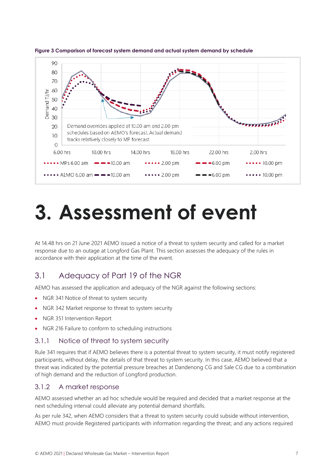

<span id="page-6-2"></span>**Figure 3 Comparison of forecast system demand and actual system demand by schedule**

## <span id="page-6-0"></span>**3. Assessment of event**

At 14.48 hrs on 21 June 2021 AEMO issued a notice of a threat to system security and called for a market response due to an outage at Longford Gas Plant. This section assesses the adequacy of the rules in accordance with their application at the time of the event.

### <span id="page-6-1"></span>3.1 Adequacy of Part 19 of the NGR

AEMO has assessed the application and adequacy of the NGR against the following sections:

- NGR 341 Notice of threat to system security
- NGR 342 Market response to threat to system security
- NGR 351 Intervention Report
- NGR 216 Failure to conform to scheduling instructions

### 3.1.1 Notice of threat to system security

Rule 341 requires that if AEMO believes there is a potential threat to system security, it must notify registered participants, without delay, the details of that threat to system security. In this case, AEMO believed that a threat was indicated by the potential pressure breaches at Dandenong CG and Sale CG due to a combination of high demand and the reduction of Longford production.

### 3.1.2 A market response

AEMO assessed whether an ad hoc schedule would be required and decided that a market response at the next scheduling interval could alleviate any potential demand shortfalls.

As per rule 342, when AEMO considers that a threat to system security could subside without intervention, AEMO must provide Registered participants with information regarding the threat; and any actions required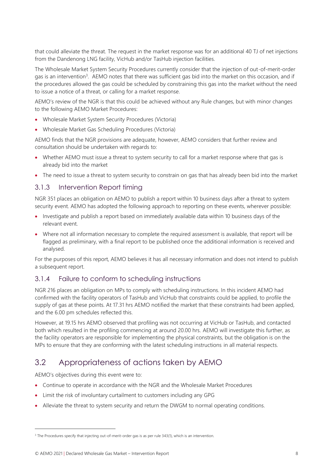that could alleviate the threat. The request in the market response was for an additional 40 TJ of net injections from the Dandenong LNG facility, VicHub and/or TasHub injection facilities.

The Wholesale Market System Security Procedures currently consider that the injection of out-of-merit-order gas is an intervention<sup>3</sup>. AEMO notes that there was sufficient gas bid into the market on this occasion, and if the procedures allowed the gas could be scheduled by constraining this gas into the market without the need to issue a notice of a threat, or calling for a market response.

AEMO's review of the NGR is that this could be achieved without any Rule changes, but with minor changes to the following AEMO Market Procedures:

- Wholesale Market System Security Procedures (Victoria)
- Wholesale Market Gas Scheduling Procedures (Victoria)

AEMO finds that the NGR provisions are adequate, however, AEMO considers that further review and consultation should be undertaken with regards to:

- Whether AEMO must issue a threat to system security to call for a market response where that gas is already bid into the market
- The need to issue a threat to system security to constrain on gas that has already been bid into the market

### 3.1.3 Intervention Report timing

NGR 351 places an obligation on AEMO to publish a report within 10 business days after a threat to system security event. AEMO has adopted the following approach to reporting on these events, wherever possible:

- Investigate and publish a report based on immediately available data within 10 business days of the relevant event.
- Where not all information necessary to complete the required assessment is available, that report will be flagged as preliminary, with a final report to be published once the additional information is received and analysed.

For the purposes of this report, AEMO believes it has all necessary information and does not intend to publish a subsequent report.

### <span id="page-7-1"></span>3.1.4 Failure to conform to scheduling instructions

NGR 216 places an obligation on MPs to comply with scheduling instructions. In this incident AEMO had confirmed with the facility operators of TasHub and VicHub that constraints could be applied, to profile the supply of gas at these points. At 17.31 hrs AEMO notified the market that these constraints had been applied, and the 6.00 pm schedules reflected this.

However, at 19.15 hrs AEMO observed that profiling was not occurring at VicHub or TasHub, and contacted both which resulted in the profiling commencing at around 20.00 hrs. AEMO will investigate this further, as the facility operators are responsible for implementing the physical constraints, but the obligation is on the MPs to ensure that they are conforming with the latest scheduling instructions in all material respects.

### <span id="page-7-0"></span>3.2 Appropriateness of actions taken by AEMO

AEMO's objectives during this event were to:

- Continue to operate in accordance with the NGR and the Wholesale Market Procedures
- Limit the risk of involuntary curtailment to customers including any GPG
- Alleviate the threat to system security and return the DWGM to normal operating conditions.

<sup>&</sup>lt;sup>3</sup> The Procedures specify that injecting out-of-merit-order gas is as per rule 343(1), which is an intervention.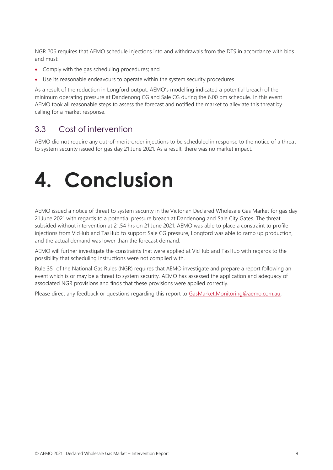NGR 206 requires that AEMO schedule injections into and withdrawals from the DTS in accordance with bids and must:

- Comply with the gas scheduling procedures; and
- Use its reasonable endeavours to operate within the system security procedures

As a result of the reduction in Longford output, AEMO's modelling indicated a potential breach of the minimum operating pressure at Dandenong CG and Sale CG during the 6.00 pm schedule. In this event AEMO took all reasonable steps to assess the forecast and notified the market to alleviate this threat by calling for a market response.

### <span id="page-8-0"></span>3.3 Cost of intervention

AEMO did not require any out-of-merit-order injections to be scheduled in response to the notice of a threat to system security issued for gas day 21 June 2021. As a result, there was no market impact.

# <span id="page-8-1"></span>**4. Conclusion**

AEMO issued a notice of threat to system security in the Victorian Declared Wholesale Gas Market for gas day 21 June 2021 with regards to a potential pressure breach at Dandenong and Sale City Gates. The threat subsided without intervention at 21.54 hrs on 21 June 2021. AEMO was able to place a constraint to profile injections from VicHub and TasHub to support Sale CG pressure, Longford was able to ramp up production, and the actual demand was lower than the forecast demand.

AEMO will further investigate the constraints that were applied at VicHub and TasHub with regards to the possibility that scheduling instructions were not complied with.

Rule 351 of the National Gas Rules (NGR) requires that AEMO investigate and prepare a report following an event which is or may be a threat to system security. AEMO has assessed the application and adequacy of associated NGR provisions and finds that these provisions were applied correctly.

Please direct any feedback or questions regarding this report to [GasMarket.Monitoring@aemo.com.au.](mailto:GasMarket.Monitoring@aemo.com.au)